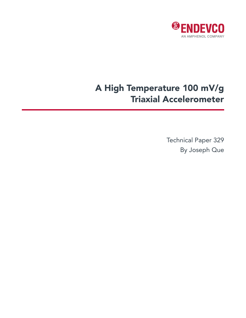

# A High Temperature 100 mV/g Triaxial Accelerometer

Technical Paper 329 By Joseph Que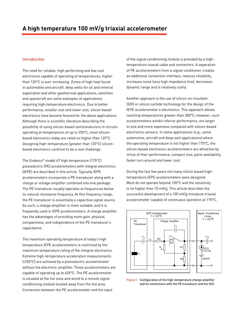## Introduction

The need for reliable, high performing and low cost electronics capable of operating at temperatures, higher than 125°C is ever increasing. Zones of high heat found in automobile and aircraft, deep wells for oil and mineral exploration and other geothermal applications, satellites and spacecraft are some examples of applications requiring high-temperature electronics. Due to better performance, smaller size and lower cost, silicon based electronics have become favored for the above applications. Although there is scientific literature describing the possibility of using silicon-based semiconductors in circuits operating at temperatures of up to 250°C, most siliconbased electronics today are rated no higher than 125°C. Designing high-temperature (greater than 125°C) siliconbased electronics continue to be a real challenge.

The Endevco® model 67 high temperature (175°C) piezoelectric (PE) accelerometers with integral electronics (IEPE) are described in this article. Typically IEPE accelerometers incorporate a PE transducer along with a charge or voltage amplifier combined into one package. The PE transducer usually operates at frequencies below its natural resonance frequency. At this frequency range, the PE transducer is essentially a capacitive signal source. As such, a charge amplifier is more suitable, and it is frequently used in IEPE accelerometers. A charge amplifier has the advantages of providing more gain, physical compactness, and independence of the PE transducer's capacitance.

The maximum operating temperature of today's high temperature IEPE accelerometers is restricted by the maximum temperature rating of the integral electronics. Extreme high-temperature acceleration measurements (>250°C) are achieved by a piezoelectric accelerometer without the electronic amplifier. These accelerometers are capable of operating up to 455°C. The PE accelerometer is situated at the hot zone and wired to a remote signal conditioning module located away from the hot area. Connection between the PE accelerometer and the input

of the signal conditioning module is provided by a hightemperature coaxial cable and connectors. A separation of PE accelerometers from a signal conditioner creates an additional connection interface, reduces reliability, increases noise (very high impedance line), decreases dynamic range and is relatively costly.

Another approach is the use of silicon-on-insulator (SOI) or silicon carbide technology for the design of the IEPE accelerometer's electronics. This approach allows reaching temperatures greater than 300°C; however, such accelerometers exhibit inferior performance, are larger in size and more expensive compared with silicon-based electronics sensors. In some applications (e.g., some automotive, aircraft and deep well applications) where the operating temperature is not higher than 175°C, the silicon-based electronics accelerometers are attractive by virtue of their performance, compact size, parts availability, faster turn around and lower cost.

During the last few years not many silicon based hightemperature IEPE accelerometers were designed. Most do not operate beyond 150°C and the sensitivity is no higher than 10 mV/g. This article describes the successful development of a 100 mV/g miniature triaxial accelerometer capable of continuous operation at 175°C.



Figure 1 Configuration of the high-temperature charge amplifier and its connections with the PE transducer and the SCC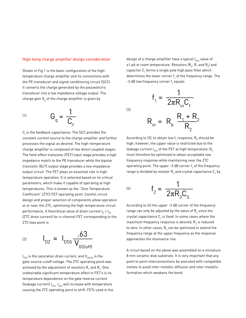#### High temp charge amplifier design consideration

Shown in Fig 1 is the basic configuration of the hightemperature charge amplifier and its connections with the PE transducer and signal conditioning circuit (SCC). It converts the charge generated by the piezoelectric transducer into a low impedance voltage output. The charge gain G<sub>q</sub> of the charge amplifier is given by

$$
\mathbf{G}_{q} = \frac{1}{\mathbf{C}_{f}}
$$

 $\mathsf{C}_\mathsf{f}$  is the feedback capacitance. The SCC provides the constant current source to the charge amplifier and further processes the signal as desired. The high–temperature charge amplifier is composed of two direct coupled stages. The field-effect transistor (FET) input stage provides a high impedance match to the PE transducer while the bipolar transistor (BJT) output stage provides a low impedance output circuit. The FET plays an essential role in high temperature operation. It is selected based on its critical parameters, which make it capable of operating at high temperatures. This is known as the "Zero Temperature Coefficient" (ZTC) FET operating point. Careful circuit design and proper selection of components allow operation at or near the ZTC, optimizing the high temperature circuit performance. A theoretical value of drain current  $I_D = I_{DZ}$ (ZTC drain current) for n-channel FET corresponding to the ZTC bias point is

$$
I_{\text{DZ}} \approx I_{\text{DSS}} \frac{.63}{V_{\text{GS(off)}}}
$$

 $\mathsf{I}_\mathsf{DSS}$  is the saturation drain current, and  $\mathsf{V}_\mathsf{GS(off)}$  is the gate-source cutoff voltage. The ZTC operating point was achieved by the adjustment of resistors  $\mathsf{R}_{_{1}}$  and  $\mathsf{R}_{_{2}}.$  One undesirable significant temperature effect in FET's is its temperature dependence on the gate reverse current (leakage current)  $I_{\rm ess}$ .  $I_{\rm ess}$  will increase with temperature causing the ZTC operating point to shift. FETs used in the design of a charge amplifier have a typical  $I_{\rm \tiny GSS}$  value of ≤1 pA at room temperature. Resistors (R<sub>b</sub>, R<sub>1</sub> and R<sub>2</sub>) and capacitor  $\mathsf{C}_\mathsf{f}$  forms a single pole high pass filter which determines the lower corner  $\mathsf{f}_1$  of the frequency range. The -3 dB low frequency corner  $\mathsf{f}_1$  equals

> $f<sub>1</sub>$  $=\frac{1}{2\pi R_{in}C_f}$ 1

(3)

$$
R_{in} = R_b \frac{R_1 + R_2}{R_2}
$$

According to (3), to obtain low  $\mathsf{f}_\mathsf{1}$  response,  $\mathsf{R}_\mathsf{b}$  should be high; however, the upper value is restricted due to the leakage current  $I_{GSS}$  of the FET at high temperature.  $R_{b}$ must therefore be optimized to obtain acceptable low frequency response while maintaining near the ZTC operating point. The upper -3 dB corner  $\mathsf{f}_2$  of the frequency range is dictated by resistor  $\mathsf{R}_{_{\!3}}$  and crystal capacitance  $\mathsf{C}_{_{\!5}}$  by

$$
f_2 = \frac{1}{2\pi R_3 C_5}
$$

According to (4) the upper -3 dB corner of the frequency range can only be adjusted by the value of  $\mathsf{R}_{_{\!3}}$  since the crystal capacitance  $\textsf{C}_\textsf{s}$  is fixed. In some cases where the maximum frequency response is desired,  $\mathsf{R}_{_3}$  is reduced to zero. In other cases,  $\mathsf{R}_{_{\!3}}$  can be optimized to extend the frequency range at the upper frequency as the response approaches the resonance rise.

A circuit based on the above was assembled on a miniature 8 mm ceramic disk substrate. It is very important that any point to point interconnections be executed with compatible metals to avoid inter-metallic diffusion and inter-metallic formation which weakens the bond.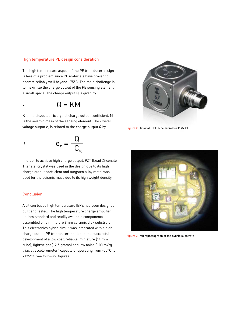### High temperature PE design consideration

The high temperature aspect of the PE transducer design is less of a problem since PE materials have proven to operate reliably well beyond 175°C. The main challenge is to maximize the charge output of the PE sensing element in a small space. The charge output Q is given by

$$
^{51} \hspace{1.5cm} \text{Q} = \text{KM}
$$

K is the piezoelectric crystal charge output coefficient. M is the seismic mass of the sensing element. The crystal voltage output  $\mathsf{e}_{_\mathrm{s}}$  is related to the charge output Q by

$$
e_{S} = \frac{Q}{C_{S}}
$$

In order to achieve high charge output, PZT (Lead Zirconate Titanate) crystal was used in the design due to its high charge output coefficient and tungsten alloy metal was used for the seismic mass due to its high weight density.

#### Conclusion

A silicon based high temperature IEPE has been designed, built and tested. The high temperature charge amplifier utilizes standard and readily available components assembled on a miniature 8mm ceramic disk substrate. This electronics hybrid circuit was integrated with a high charge output PE transducer that led to the successful development of a low cost, reliable, miniature (14 mm cube), lightweight (12.5 grams) and low noise "100 mV/g triaxial accelerometer" capable of operating from -55°C to +175°C. See following figures



Figure 2 Triaxial IEPE accelerometer (175°C)



Figure 3 Microphotograph of the hybrid substrate